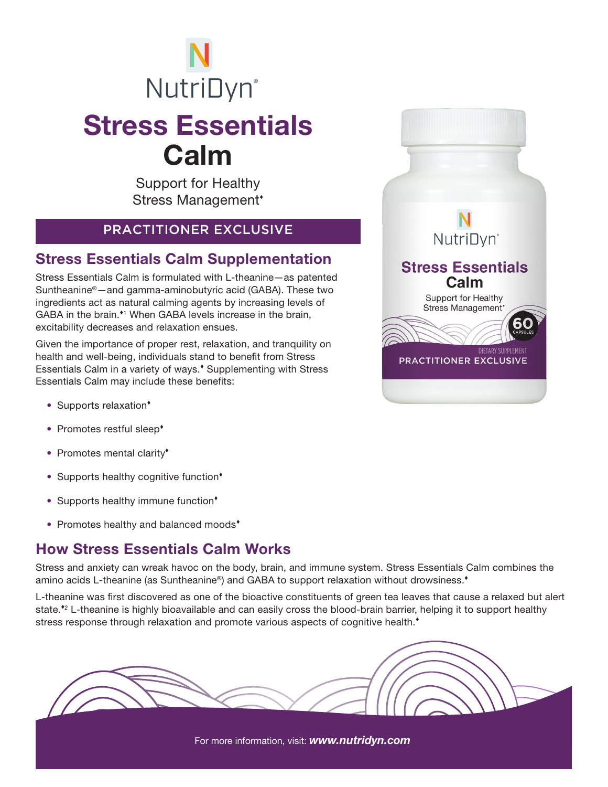# Stress Essentials Calm **NutriDyn**®

Support for Healthy Stress Management

#### PRACTITIONER EXCLUSIVE

#### Stress Essentials Calm Supplementation

Stress Essentials Calm is formulated with L-theanine—as patented Suntheanine®—and gamma-aminobutyric acid (GABA). These two ingredients act as natural calming agents by increasing levels of GABA in the brain.<sup>\*1</sup> When GABA levels increase in the brain, excitability decreases and relaxation ensues.

Given the importance of proper rest, relaxation, and tranquility on health and well-being, individuals stand to benefit from Stress Essentials Calm in a variety of ways.<sup>\*</sup> Supplementing with Stress Essentials Calm may include these benefits:

- Supports relaxation<sup>\*</sup>
- Promotes restful sleep<sup>+</sup>
- Promotes mental clarity<sup>\*</sup>
- Supports healthy cognitive function<sup>\*</sup>
- Supports healthy immune function<sup>\*</sup>
- Promotes healthy and balanced moods<sup>\*</sup>

### How Stress Essentials Calm Works

Stress and anxiety can wreak havoc on the body, brain, and immune system. Stress Essentials Calm combines the amino acids L-theanine (as Suntheanine®) and GABA to support relaxation without drowsiness.<sup>\*</sup>

L-theanine was first discovered as one of the bioactive constituents of green tea leaves that cause a relaxed but alert state.<sup>\*</sup> L-theanine is highly bioavailable and can easily cross the blood-brain barrier, helping it to support healthy stress response through relaxation and promote various aspects of cognitive health.<sup>\*</sup>



For more information, visit: *www.nutridyn.com*